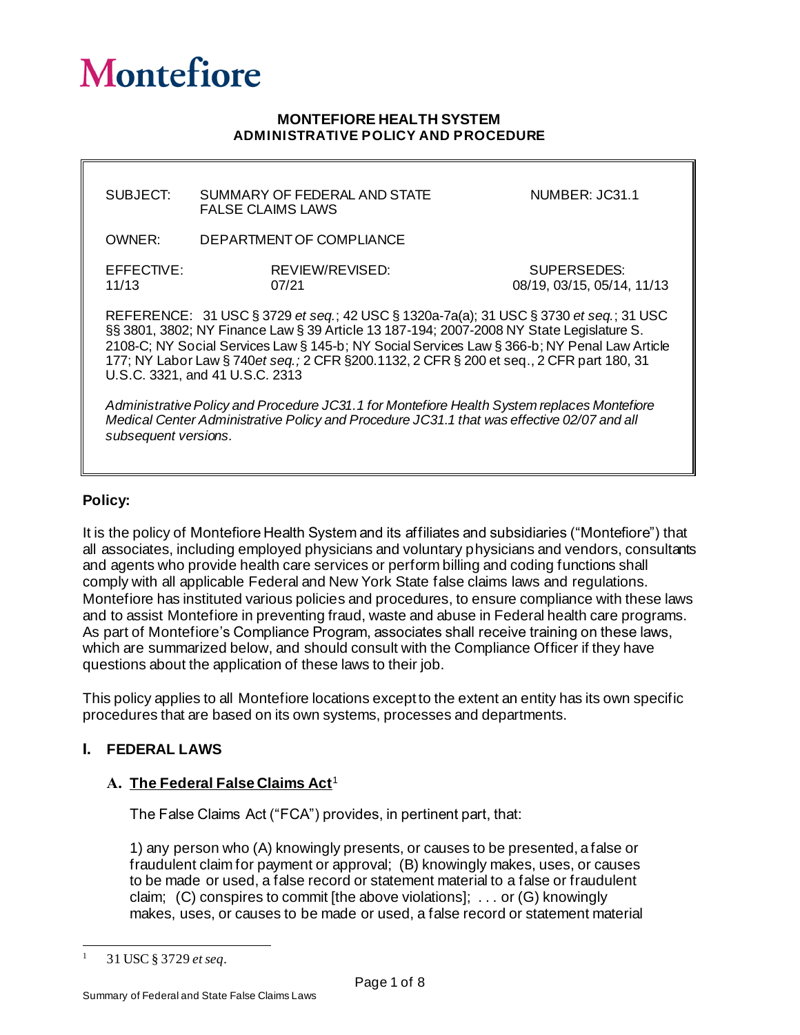# **Montefiore**

#### **MONTEFIORE HEALTH SYSTEM ADMINISTRATIVE POLICY AND PROCEDURE**

SUBJECT: SUMMARY OF FEDERAL AND STATE NUMBER: JC31.1 FALSE CLAIMS LAWS OWNER: DEPARTMENT OF COMPLIANCE EFFECTIVE: REVIEW/REVISED: SUPERSEDES: 11/13 07/21 08/19, 03/15, 05/14, 11/13 REFERENCE: 31 USC § 3729 *et seq.*; 42 USC § 1320a-7a(a); 31 USC § 3730 *et seq.*; 31 USC §§ 3801, 3802; NY Finance Law § 39 Article 13 187-194; 2007-2008 NY State Legislature S. 2108-C; NY Social Services Law § 145-b; NY Social Services Law § 366-b; NY Penal Law Article 177; NY Labor Law § 740*et seq.;* 2 CFR §200.1132, 2 CFR § 200 et seq., 2 CFR part 180, 31 U.S.C. 3321, and 41 U.S.C. 2313 *Administrative Policy and Procedure JC31.1 for Montefiore Health System replaces Montefiore Medical Center Administrative Policy and Procedure JC31.1 that was effective 02/07 and all subsequent versions.*

#### **Policy:**

It is the policy of Montefiore Health System and its affiliates and subsidiaries ("Montefiore") that all associates, including employed physicians and voluntary physicians and vendors, consultants and agents who provide health care services or perform billing and coding functions shall comply with all applicable Federal and New York State false claims laws and regulations. Montefiore has instituted various policies and procedures, to ensure compliance with these laws and to assist Montefiore in preventing fraud, waste and abuse in Federal health care programs. As part of Montefiore's Compliance Program, associates shall receive training on these laws, which are summarized below, and should consult with the Compliance Officer if they have questions about the application of these laws to their job.

This policy applies to all Montefiore locations except to the extent an entity has its own specific procedures that are based on its own systems, processes and departments.

#### **I. FEDERAL LAWS**

#### **A. The Federal False Claims Act**<sup>1</sup>

The False Claims Act ("FCA") provides, in pertinent part, that:

1) any person who (A) knowingly presents, or causes to be presented, a false or fraudulent claim for payment or approval; (B) knowingly makes, uses, or causes to be made or used, a false record or statement material to a false or fraudulent claim; (C) conspires to commit [the above violations]; . . . or (G) knowingly makes, uses, or causes to be made or used, a false record or statement material

1

<sup>31</sup> USC § 3729 *et seq.*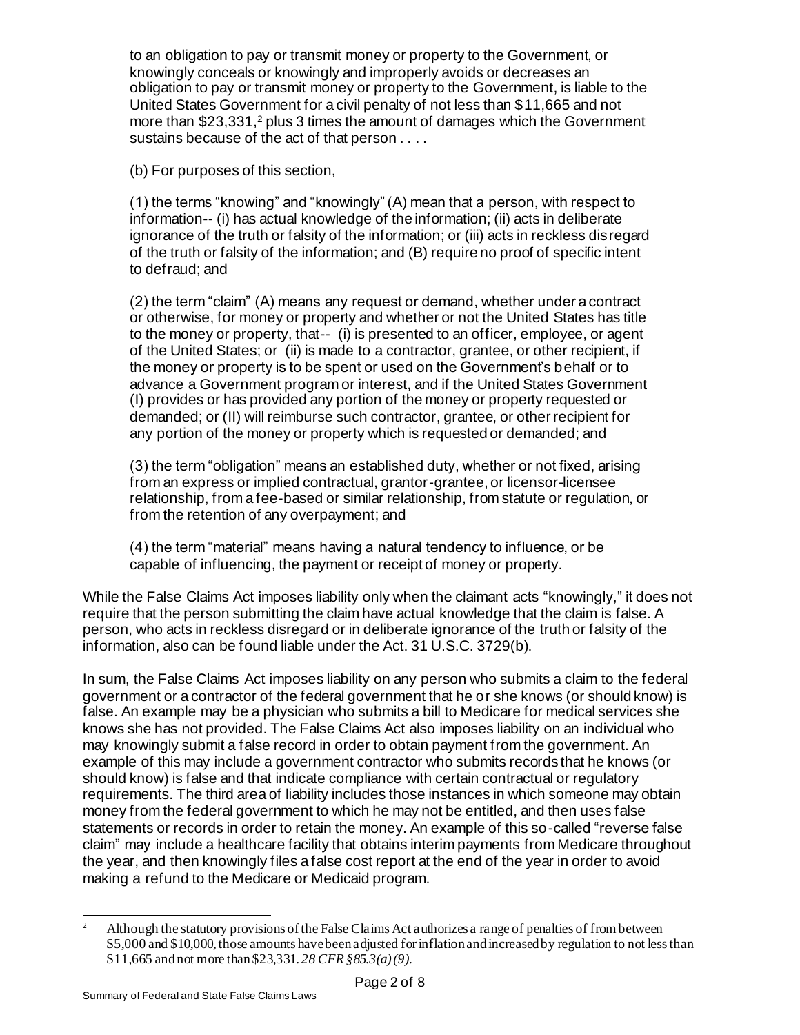to an obligation to pay or transmit money or property to the Government, or knowingly conceals or knowingly and improperly avoids or decreases an obligation to pay or transmit money or property to the Government, is liable to the United States Government for a civil penalty of not less than \$11,665 and not more than \$23,331,<sup>2</sup> plus 3 times the amount of damages which the Government sustains because of the act of that person . . . .

(b) For purposes of this section,

(1) the terms "knowing" and "knowingly" (A) mean that a person, with respect to information-- (i) has actual knowledge of the information; (ii) acts in deliberate ignorance of the truth or falsity of the information; or (iii) acts in reckless disregard of the truth or falsity of the information; and (B) require no proof of specific intent to defraud; and

(2) the term "claim" (A) means any request or demand, whether under a contract or otherwise, for money or property and whether or not the United States has title to the money or property, that-- (i) is presented to an officer, employee, or agent of the United States; or (ii) is made to a contractor, grantee, or other recipient, if the money or property is to be spent or used on the Government's behalf or to advance a Government program or interest, and if the United States Government (I) provides or has provided any portion of the money or property requested or demanded; or (II) will reimburse such contractor, grantee, or other recipient for any portion of the money or property which is requested or demanded; and

(3) the term "obligation" means an established duty, whether or not fixed, arising from an express or implied contractual, grantor-grantee, or licensor-licensee relationship, from a fee-based or similar relationship, from statute or regulation, or from the retention of any overpayment; and

(4) the term "material" means having a natural tendency to influence, or be capable of influencing, the payment or receipt of money or property.

While the False Claims Act imposes liability only when the claimant acts "knowingly," it does not require that the person submitting the claim have actual knowledge that the claim is false. A person, who acts in reckless disregard or in deliberate ignorance of the truth or falsity of the information, also can be found liable under the Act. 31 U.S.C. 3729(b).

In sum, the False Claims Act imposes liability on any person who submits a claim to the federal government or a contractor of the federal government that he or she knows (or should know) is false. An example may be a physician who submits a bill to Medicare for medical services she knows she has not provided. The False Claims Act also imposes liability on an individual who may knowingly submit a false record in order to obtain payment from the government. An example of this may include a government contractor who submits records that he knows (or should know) is false and that indicate compliance with certain contractual or regulatory requirements. The third area of liability includes those instances in which someone may obtain money from the federal government to which he may not be entitled, and then uses false statements or records in order to retain the money. An example of this so-called "reverse false claim" may include a healthcare facility that obtains interim payments from Medicare throughout the year, and then knowingly files a false cost report at the end of the year in order to avoid making a refund to the Medicare or Medicaid program.

<sup>&</sup>lt;sup>2</sup> Although the statutory provisions of the False Claims Act authorizes a range of penalties of from between \$5,000 and \$10,000, those amounts have been adjusted for inflation and increased by regulation to not less than \$11,665 and not more than \$23,331. *28 CFR §85.3(a) (9)*.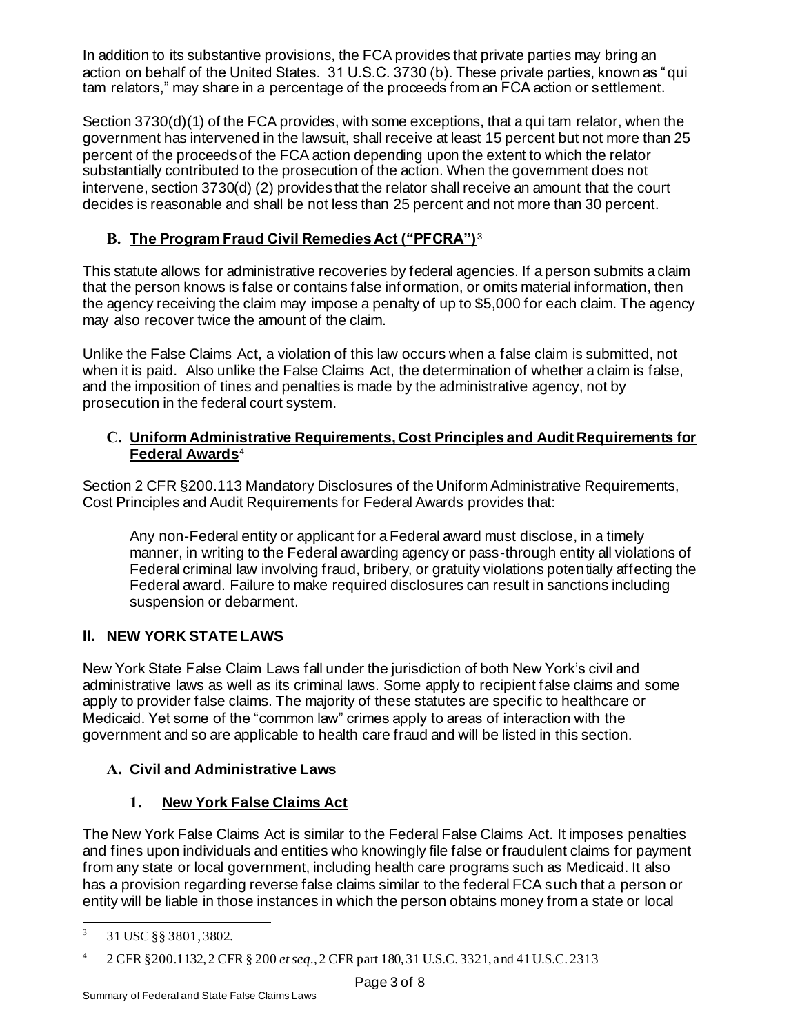In addition to its substantive provisions, the FCA provides that private parties may bring an action on behalf of the United States. 31 U.S.C. 3730 (b). These private parties, known as " qui tam relators," may share in a percentage of the proceeds from an FCA action or settlement.

Section 3730(d)(1) of the FCA provides, with some exceptions, that a qui tam relator, when the government has intervened in the lawsuit, shall receive at least 15 percent but not more than 25 percent of the proceeds of the FCA action depending upon the extent to which the relator substantially contributed to the prosecution of the action. When the government does not intervene, section 3730(d) (2) provides that the relator shall receive an amount that the court decides is reasonable and shall be not less than 25 percent and not more than 30 percent.

# **B. The Program Fraud Civil Remedies Act ("PFCRA")**<sup>3</sup>

This statute allows for administrative recoveries by federal agencies. If a person submits a claim that the person knows is false or contains false inf ormation, or omits material information, then the agency receiving the claim may impose a penalty of up to \$5,000 for each claim. The agency may also recover twice the amount of the claim.

Unlike the False Claims Act, a violation of this law occurs when a false claim is submitted, not when it is paid. Also unlike the False Claims Act, the determination of whether a claim is false, and the imposition of tines and penalties is made by the administrative agency, not by prosecution in the federal court system.

#### **C. Uniform Administrative Requirements, Cost Principles and Audit Requirements for Federal Awards**<sup>4</sup>

Section 2 CFR §200.113 Mandatory Disclosures of the Uniform Administrative Requirements, Cost Principles and Audit Requirements for Federal Awards provides that:

Any non-Federal entity or applicant for a Federal award must disclose, in a timely manner, in writing to the Federal awarding agency or pass-through entity all violations of Federal criminal law involving fraud, bribery, or gratuity violations potentially affecting the Federal award. Failure to make required disclosures can result in sanctions including suspension or debarment.

# **II. NEW YORK STATE LAWS**

New York State False Claim Laws fall under the jurisdiction of both New York's civil and administrative laws as well as its criminal laws. Some apply to recipient false claims and some apply to provider false claims. The majority of these statutes are specific to healthcare or Medicaid. Yet some of the "common law" crimes apply to areas of interaction with the government and so are applicable to health care fraud and will be listed in this section.

# **A. Civil and Administrative Laws**

# **1. New York False Claims Act**

The New York False Claims Act is similar to the Federal False Claims Act. It imposes penalties and fines upon individuals and entities who knowingly file false or fraudulent claims for payment from any state or local government, including health care programs such as Medicaid. It also has a provision regarding reverse false claims similar to the federal FCA such that a person or entity will be liable in those instances in which the person obtains money from a state or local

<sup>3</sup> 31 USC §§ 3801, 3802.

<sup>4</sup> 2 CFR §200.1132, 2 CFR § 200 *et seq.*, 2 CFR part 180, 31 U.S.C. 3321, and 41 U.S.C. 2313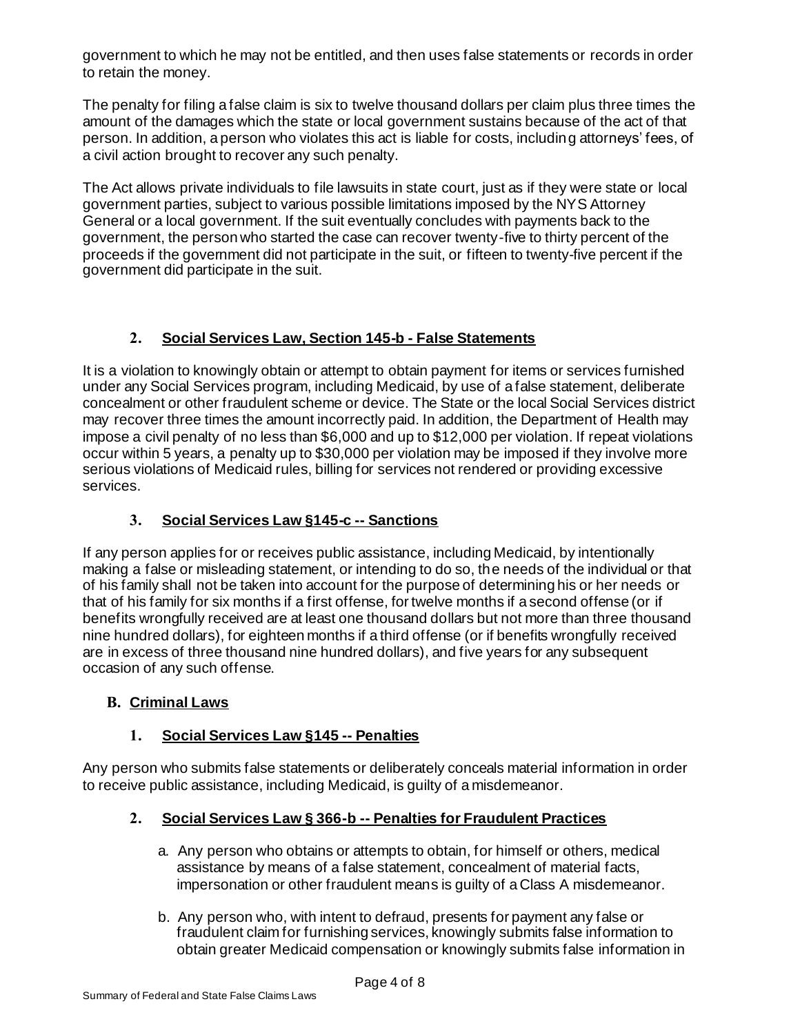government to which he may not be entitled, and then uses false statements or records in order to retain the money.

The penalty for filing a false claim is six to twelve thousand dollars per claim plus three times the amount of the damages which the state or local government sustains because of the act of that person. In addition, a person who violates this act is liable for costs, including attorneys' fees, of a civil action brought to recover any such penalty.

The Act allows private individuals to file lawsuits in state court, just as if they were state or local government parties, subject to various possible limitations imposed by the NYS Attorney General or a local government. If the suit eventually concludes with payments back to the government, the person who started the case can recover twenty-five to thirty percent of the proceeds if the government did not participate in the suit, or fifteen to twenty-five percent if the government did participate in the suit.

## **2. Social Services Law, Section 145-b - False Statements**

It is a violation to knowingly obtain or attempt to obtain payment for items or services furnished under any Social Services program, including Medicaid, by use of a false statement, deliberate concealment or other fraudulent scheme or device. The State or the local Social Services district may recover three times the amount incorrectly paid. In addition, the Department of Health may impose a civil penalty of no less than \$6,000 and up to \$12,000 per violation. If repeat violations occur within 5 years, a penalty up to \$30,000 per violation may be imposed if they involve more serious violations of Medicaid rules, billing for services not rendered or providing excessive services.

## **3. Social Services Law §145-c -- Sanctions**

If any person applies for or receives public assistance, including Medicaid, by intentionally making a false or misleading statement, or intending to do so, the needs of the individual or that of his family shall not be taken into account for the purpose of determining his or her needs or that of his family for six months if a first offense, for twelve months if a second offense (or if benefits wrongfully received are at least one thousand dollars but not more than three thousand nine hundred dollars), for eighteen months if a third offense (or if benefits wrongfully received are in excess of three thousand nine hundred dollars), and five years for any subsequent occasion of any such offense.

## **B. Criminal Laws**

# **1. Social Services Law §145 -- Penalties**

Any person who submits false statements or deliberately conceals material information in order to receive public assistance, including Medicaid, is guilty of a misdemeanor.

## **2. Social Services Law § 366-b -- Penalties for Fraudulent Practices**

- a. Any person who obtains or attempts to obtain, for himself or others, medical assistance by means of a false statement, concealment of material facts, impersonation or other fraudulent means is guilty of a Class A misdemeanor.
- b. Any person who, with intent to defraud, presents for payment any false or fraudulent claim for furnishing services, knowingly submits false information to obtain greater Medicaid compensation or knowingly submits false information in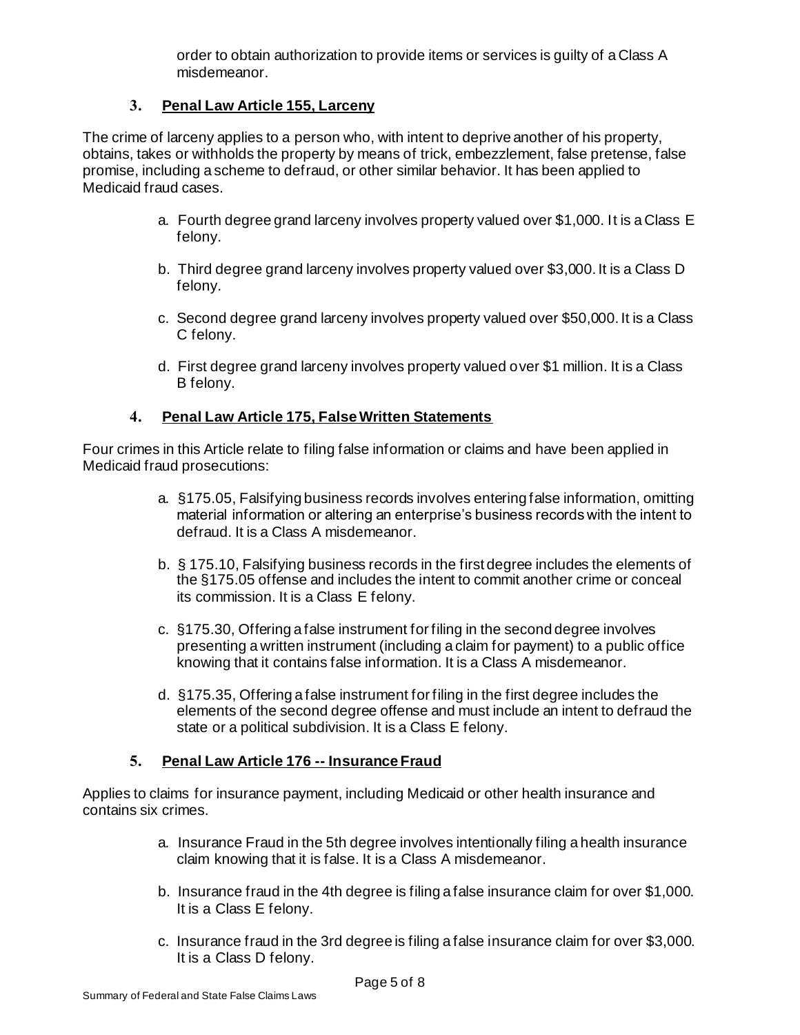order to obtain authorization to provide items or services is guilty of a Class A misdemeanor.

## **3. Penal Law Article 155, Larceny**

The crime of larceny applies to a person who, with intent to deprive another of his property, obtains, takes or withholds the property by means of trick, embezzlement, false pretense, false promise, including a scheme to defraud, or other similar behavior. It has been applied to Medicaid fraud cases.

- a. Fourth degree grand larceny involves property valued over \$1,000. It is a Class E felony.
- b. Third degree grand larceny involves property valued over \$3,000. It is a Class D felony.
- c. Second degree grand larceny involves property valued over \$50,000. It is a Class C felony.
- d. First degree grand larceny involves property valued over \$1 million. It is a Class B felony.

## **4. Penal Law Article 175, False Written Statements**

Four crimes in this Article relate to filing false information or claims and have been applied in Medicaid fraud prosecutions:

- a. §175.05, Falsifying business records involves entering false information, omitting material information or altering an enterprise's business records with the intent to defraud. It is a Class A misdemeanor.
- b. § 175.10, Falsifying business records in the first degree includes the elements of the §175.05 offense and includes the intent to commit another crime or conceal its commission. It is a Class E felony.
- c. §175.30, Offering a false instrument for filing in the second degree involves presenting a written instrument (including a claim for payment) to a public office knowing that it contains false information. It is a Class A misdemeanor.
- d. §175.35, Offering a false instrument for filing in the first degree includes the elements of the second degree offense and must include an intent to defraud the state or a political subdivision. It is a Class E felony.

## **5. Penal Law Article 176 -- Insurance Fraud**

Applies to claims for insurance payment, including Medicaid or other health insurance and contains six crimes.

- a. Insurance Fraud in the 5th degree involves intentionally filing a health insurance claim knowing that it is false. It is a Class A misdemeanor.
- b. Insurance fraud in the 4th degree is filing a false insurance claim for over \$1,000. It is a Class E felony.
- c. Insurance fraud in the 3rd degree is filing a false insurance claim for over \$3,000. It is a Class D felony.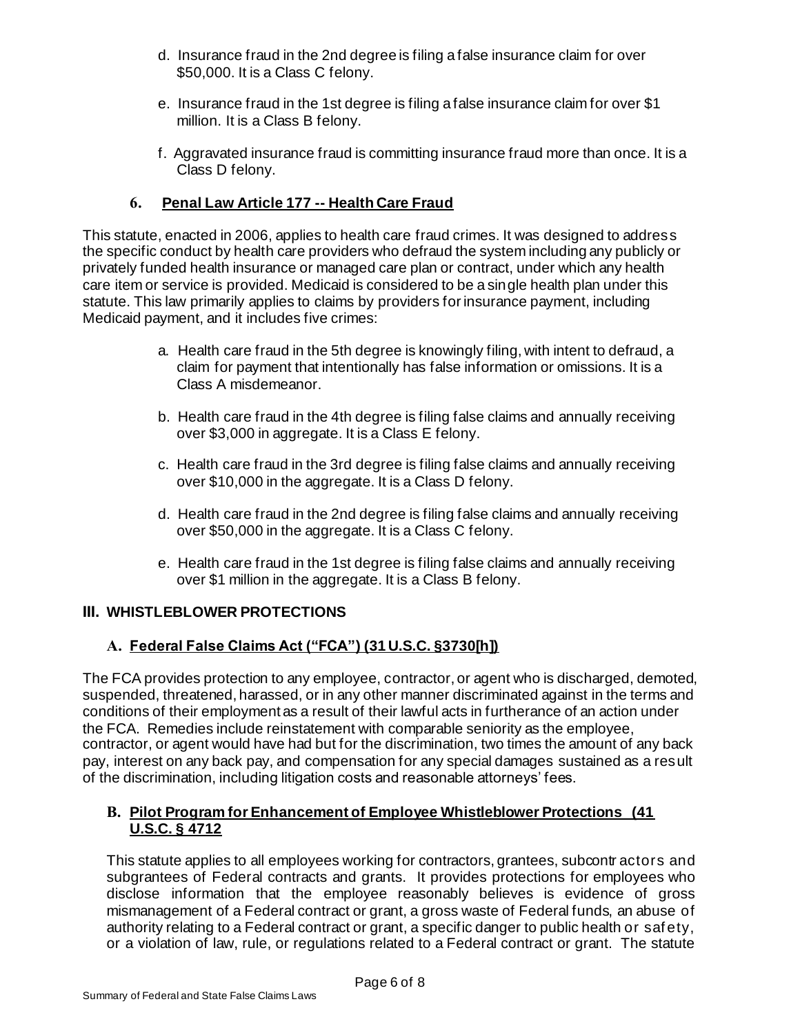- d. Insurance fraud in the 2nd degree is filing a false insurance claim for over \$50,000. It is a Class C felony.
- e. Insurance fraud in the 1st degree is filing a false insurance claim for over \$1 million. It is a Class B felony.
- f. Aggravated insurance fraud is committing insurance fraud more than once. It is a Class D felony.

#### **6. Penal Law Article 177 -- Health Care Fraud**

This statute, enacted in 2006, applies to health care fraud crimes. It was designed to address the specific conduct by health care providers who defraud the system including any publicly or privately funded health insurance or managed care plan or contract, under which any health care item or service is provided. Medicaid is considered to be a single health plan under this statute. This law primarily applies to claims by providers for insurance payment, including Medicaid payment, and it includes five crimes:

- a. Health care fraud in the 5th degree is knowingly filing, with intent to defraud, a claim for payment that intentionally has false information or omissions. It is a Class A misdemeanor.
- b. Health care fraud in the 4th degree is filing false claims and annually receiving over \$3,000 in aggregate. It is a Class E felony.
- c. Health care fraud in the 3rd degree is filing false claims and annually receiving over \$10,000 in the aggregate. It is a Class D felony.
- d. Health care fraud in the 2nd degree is filing false claims and annually receiving over \$50,000 in the aggregate. It is a Class C felony.
- e. Health care fraud in the 1st degree is filing false claims and annually receiving over \$1 million in the aggregate. It is a Class B felony.

## **III. WHISTLEBLOWER PROTECTIONS**

## **A. Federal False Claims Act ("FCA") (31 U.S.C. §3730[h])**

The FCA provides protection to any employee, contractor, or agent who is discharged, demoted, suspended, threatened, harassed, or in any other manner discriminated against in the terms and conditions of their employment as a result of their lawful acts in furtherance of an action under the FCA. Remedies include reinstatement with comparable seniority as the employee, contractor, or agent would have had but for the discrimination, two times the amount of any back pay, interest on any back pay, and compensation for any special damages sustained as a result of the discrimination, including litigation costs and reasonable attorneys' fees.

#### **B. Pilot Program for Enhancement of Employee Whistleblower Protections (41 U.S.C. § 4712**

This statute applies to all employees working for contractors, grantees, subcontr actors and subgrantees of Federal contracts and grants. It provides protections for employees who disclose information that the employee reasonably believes is evidence of gross mismanagement of a Federal contract or grant, a gross waste of Federal funds, an abuse of authority relating to a Federal contract or grant, a specific danger to public health or saf ety, or a violation of law, rule, or regulations related to a Federal contract or grant. The statute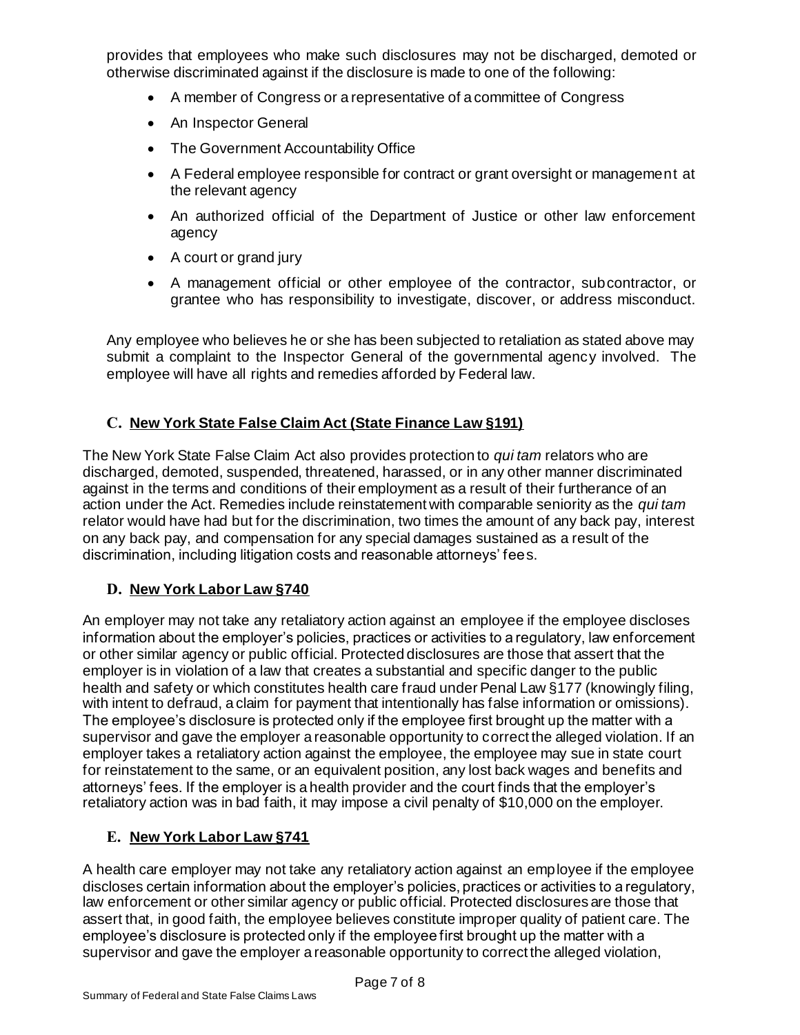provides that employees who make such disclosures may not be discharged, demoted or otherwise discriminated against if the disclosure is made to one of the following:

- A member of Congress or a representative of a committee of Congress
- An Inspector General
- The Government Accountability Office
- A Federal employee responsible for contract or grant oversight or management at the relevant agency
- An authorized official of the Department of Justice or other law enforcement agency
- A court or grand jury
- A management official or other employee of the contractor, subcontractor, or grantee who has responsibility to investigate, discover, or address misconduct.

Any employee who believes he or she has been subjected to retaliation as stated above may submit a complaint to the Inspector General of the governmental agency involved. The employee will have all rights and remedies afforded by Federal law.

## **C. New York State False Claim Act (State Finance Law §191)**

The New York State False Claim Act also provides protection to *qui tam* relators who are discharged, demoted, suspended, threatened, harassed, or in any other manner discriminated against in the terms and conditions of their employment as a result of their furtherance of an action under the Act. Remedies include reinstatement with comparable seniority as the *qui tam*  relator would have had but for the discrimination, two times the amount of any back pay, interest on any back pay, and compensation for any special damages sustained as a result of the discrimination, including litigation costs and reasonable attorneys' fees.

# **D. New York Labor Law §740**

An employer may not take any retaliatory action against an employee if the employee discloses information about the employer's policies, practices or activities to a regulatory, law enforcement or other similar agency or public official. Protected disclosures are those that assert that the employer is in violation of a law that creates a substantial and specific danger to the public health and safety or which constitutes health care fraud under Penal Law §177 (knowingly filing, with intent to defraud, a claim for payment that intentionally has false information or omissions). The employee's disclosure is protected only if the employee first brought up the matter with a supervisor and gave the employer a reasonable opportunity to correct the alleged violation. If an employer takes a retaliatory action against the employee, the employee may sue in state court for reinstatement to the same, or an equivalent position, any lost back wages and benefits and attorneys' fees. If the employer is a health provider and the court finds that the employer's retaliatory action was in bad faith, it may impose a civil penalty of \$10,000 on the employer.

# **E. New York Labor Law §741**

A health care employer may not take any retaliatory action against an employee if the employee discloses certain information about the employer's policies, practices or activities to a regulatory, law enforcement or other similar agency or public official. Protected disclosures are those that assert that, in good faith, the employee believes constitute improper quality of patient care. The employee's disclosure is protected only if the employee first brought up the matter with a supervisor and gave the employer a reasonable opportunity to correct the alleged violation,